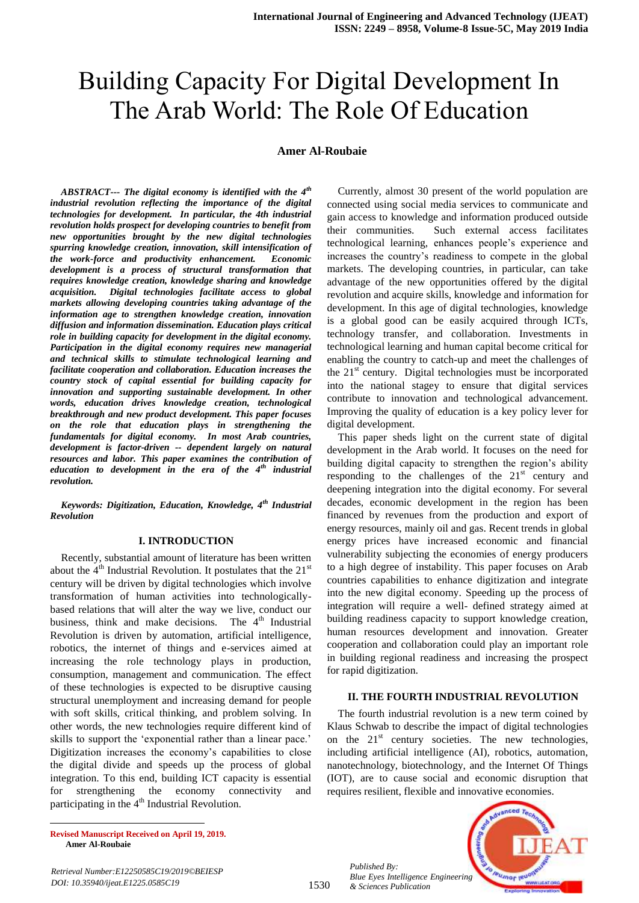# Building Capacity For Digital Development In The Arab World: The Role Of Education

## **Amer Al-Roubaie**

*ABSTRACT--- The digital economy is identified with the 4th industrial revolution reflecting the importance of the digital technologies for development. In particular, the 4th industrial revolution holds prospect for developing countries to benefit from new opportunities brought by the new digital technologies spurring knowledge creation, innovation, skill intensification of the work-force and productivity enhancement. Economic development is a process of structural transformation that requires knowledge creation, knowledge sharing and knowledge acquisition. Digital technologies facilitate access to global markets allowing developing countries taking advantage of the information age to strengthen knowledge creation, innovation diffusion and information dissemination. Education plays critical role in building capacity for development in the digital economy. Participation in the digital economy requires new managerial and technical skills to stimulate technological learning and facilitate cooperation and collaboration. Education increases the country stock of capital essential for building capacity for innovation and supporting sustainable development. In other words, education drives knowledge creation, technological breakthrough and new product development. This paper focuses on the role that education plays in strengthening the fundamentals for digital economy. In most Arab countries, development is factor-driven -- dependent largely on natural resources and labor. This paper examines the contribution of education to development in the era of the 4th industrial revolution.* 

*Keywords: Digitization, Education, Knowledge, 4th Industrial Revolution*

#### **I. INTRODUCTION**

Recently, substantial amount of literature has been written about the  $4<sup>th</sup>$  Industrial Revolution. It postulates that the 21<sup>st</sup> century will be driven by digital technologies which involve transformation of human activities into technologicallybased relations that will alter the way we live, conduct our business, think and make decisions. The  $4<sup>th</sup>$  Industrial Revolution is driven by automation, artificial intelligence, robotics, the internet of things and e-services aimed at increasing the role technology plays in production, consumption, management and communication. The effect of these technologies is expected to be disruptive causing structural unemployment and increasing demand for people with soft skills, critical thinking, and problem solving. In other words, the new technologies require different kind of skills to support the 'exponential rather than a linear pace.' Digitization increases the economy"s capabilities to close the digital divide and speeds up the process of global integration. To this end, building ICT capacity is essential for strengthening the economy connectivity and participating in the  $4<sup>th</sup>$  Industrial Revolution.

Currently, almost 30 present of the world population are connected using social media services to communicate and gain access to knowledge and information produced outside their communities. Such external access facilitates technological learning, enhances people"s experience and increases the country"s readiness to compete in the global markets. The developing countries, in particular, can take advantage of the new opportunities offered by the digital revolution and acquire skills, knowledge and information for development. In this age of digital technologies, knowledge is a global good can be easily acquired through ICTs, technology transfer, and collaboration. Investments in technological learning and human capital become critical for enabling the country to catch-up and meet the challenges of the  $21<sup>st</sup>$  century. Digital technologies must be incorporated into the national stagey to ensure that digital services contribute to innovation and technological advancement. Improving the quality of education is a key policy lever for digital development.

This paper sheds light on the current state of digital development in the Arab world. It focuses on the need for building digital capacity to strengthen the region's ability responding to the challenges of the  $21<sup>st</sup>$  century and deepening integration into the digital economy. For several decades, economic development in the region has been financed by revenues from the production and export of energy resources, mainly oil and gas. Recent trends in global energy prices have increased economic and financial vulnerability subjecting the economies of energy producers to a high degree of instability. This paper focuses on Arab countries capabilities to enhance digitization and integrate into the new digital economy. Speeding up the process of integration will require a well- defined strategy aimed at building readiness capacity to support knowledge creation, human resources development and innovation. Greater cooperation and collaboration could play an important role in building regional readiness and increasing the prospect for rapid digitization.

#### **II. THE FOURTH INDUSTRIAL REVOLUTION**

The fourth industrial revolution is a new term coined by Klaus Schwab to describe the impact of digital technologies on the  $21<sup>st</sup>$  century societies. The new technologies, including artificial intelligence (AI), robotics, automation, nanotechnology, biotechnology, and the Internet Of Things (IOT), are to cause social and economic disruption that requires resilient, flexible and innovative economies.

 $\overline{a}$ **Revised Manuscript Received on April 19, 2019. Amer Al-Roubaie**

*Retrieval Number:E12250585C19/2019©BEIESP DOI: 10.35940/ijeat.E1225.0585C19* 

*Published By:*

*& Sciences Publication* 

*Blue Eyes Intelligence Engineering*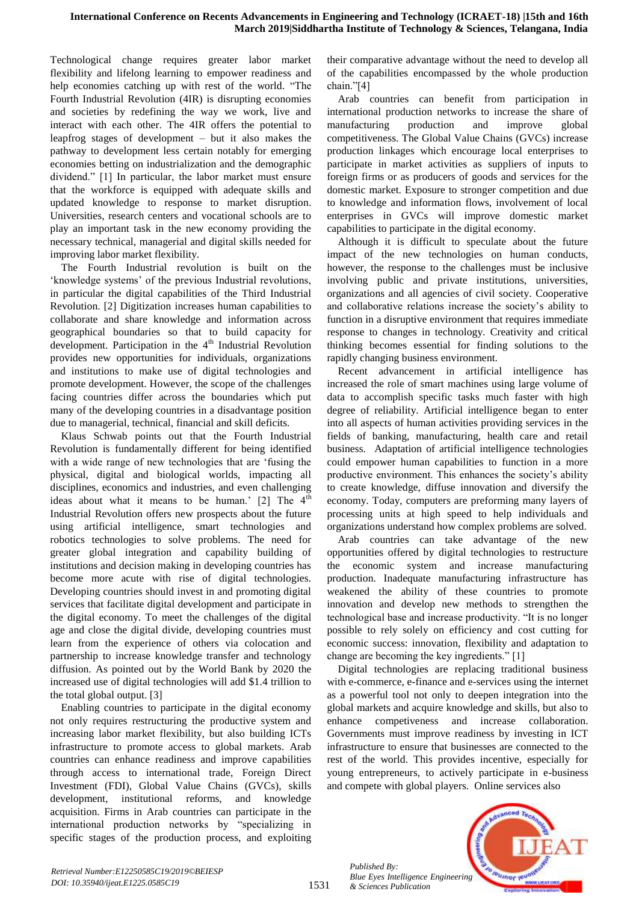Technological change requires greater labor market flexibility and lifelong learning to empower readiness and help economies catching up with rest of the world. "The Fourth Industrial Revolution (4IR) is disrupting economies and societies by redefining the way we work, live and interact with each other. The 4IR offers the potential to leapfrog stages of development – but it also makes the pathway to development less certain notably for emerging economies betting on industrialization and the demographic dividend." [1] In particular, the labor market must ensure that the workforce is equipped with adequate skills and updated knowledge to response to market disruption. Universities, research centers and vocational schools are to play an important task in the new economy providing the necessary technical, managerial and digital skills needed for improving labor market flexibility.

The Fourth Industrial revolution is built on the "knowledge systems" of the previous Industrial revolutions, in particular the digital capabilities of the Third Industrial Revolution. [2] Digitization increases human capabilities to collaborate and share knowledge and information across geographical boundaries so that to build capacity for development. Participation in the  $4<sup>th</sup>$  Industrial Revolution provides new opportunities for individuals, organizations and institutions to make use of digital technologies and promote development. However, the scope of the challenges facing countries differ across the boundaries which put many of the developing countries in a disadvantage position due to managerial, technical, financial and skill deficits.

Klaus Schwab points out that the Fourth Industrial Revolution is fundamentally different for being identified with a wide range of new technologies that are "fusing the physical, digital and biological worlds, impacting all disciplines, economics and industries, and even challenging ideas about what it means to be human.' [2] The  $4<sup>th</sup>$ Industrial Revolution offers new prospects about the future using artificial intelligence, smart technologies and robotics technologies to solve problems. The need for greater global integration and capability building of institutions and decision making in developing countries has become more acute with rise of digital technologies. Developing countries should invest in and promoting digital services that facilitate digital development and participate in the digital economy. To meet the challenges of the digital age and close the digital divide, developing countries must learn from the experience of others via colocation and partnership to increase knowledge transfer and technology diffusion. As pointed out by the World Bank by 2020 the increased use of digital technologies will add \$1.4 trillion to the total global output. [3]

Enabling countries to participate in the digital economy not only requires restructuring the productive system and increasing labor market flexibility, but also building ICTs infrastructure to promote access to global markets. Arab countries can enhance readiness and improve capabilities through access to international trade, Foreign Direct Investment (FDI), Global Value Chains (GVCs), skills development, institutional reforms, and knowledge acquisition. Firms in Arab countries can participate in the international production networks by "specializing in specific stages of the production process, and exploiting their comparative advantage without the need to develop all of the capabilities encompassed by the whole production chain."[4]

Arab countries can benefit from participation in international production networks to increase the share of manufacturing production and improve global competitiveness. The Global Value Chains (GVCs) increase production linkages which encourage local enterprises to participate in market activities as suppliers of inputs to foreign firms or as producers of goods and services for the domestic market. Exposure to stronger competition and due to knowledge and information flows, involvement of local enterprises in GVCs will improve domestic market capabilities to participate in the digital economy.

Although it is difficult to speculate about the future impact of the new technologies on human conducts, however, the response to the challenges must be inclusive involving public and private institutions, universities, organizations and all agencies of civil society. Cooperative and collaborative relations increase the society"s ability to function in a disruptive environment that requires immediate response to changes in technology. Creativity and critical thinking becomes essential for finding solutions to the rapidly changing business environment.

Recent advancement in artificial intelligence has increased the role of smart machines using large volume of data to accomplish specific tasks much faster with high degree of reliability. Artificial intelligence began to enter into all aspects of human activities providing services in the fields of banking, manufacturing, health care and retail business. Adaptation of artificial intelligence technologies could empower human capabilities to function in a more productive environment. This enhances the society's ability to create knowledge, diffuse innovation and diversify the economy. Today, computers are preforming many layers of processing units at high speed to help individuals and organizations understand how complex problems are solved.

Arab countries can take advantage of the new opportunities offered by digital technologies to restructure the economic system and increase manufacturing production. Inadequate manufacturing infrastructure has weakened the ability of these countries to promote innovation and develop new methods to strengthen the technological base and increase productivity. "It is no longer possible to rely solely on efficiency and cost cutting for economic success: innovation, flexibility and adaptation to change are becoming the key ingredients." [1]

Digital technologies are replacing traditional business with e-commerce, e-finance and e-services using the internet as a powerful tool not only to deepen integration into the global markets and acquire knowledge and skills, but also to enhance competiveness and increase collaboration. Governments must improve readiness by investing in ICT infrastructure to ensure that businesses are connected to the rest of the world. This provides incentive, especially for young entrepreneurs, to actively participate in e-business and compete with global players. Online services also

*Published By: Blue Eyes Intelligence Engineering & Sciences Publication* 



1531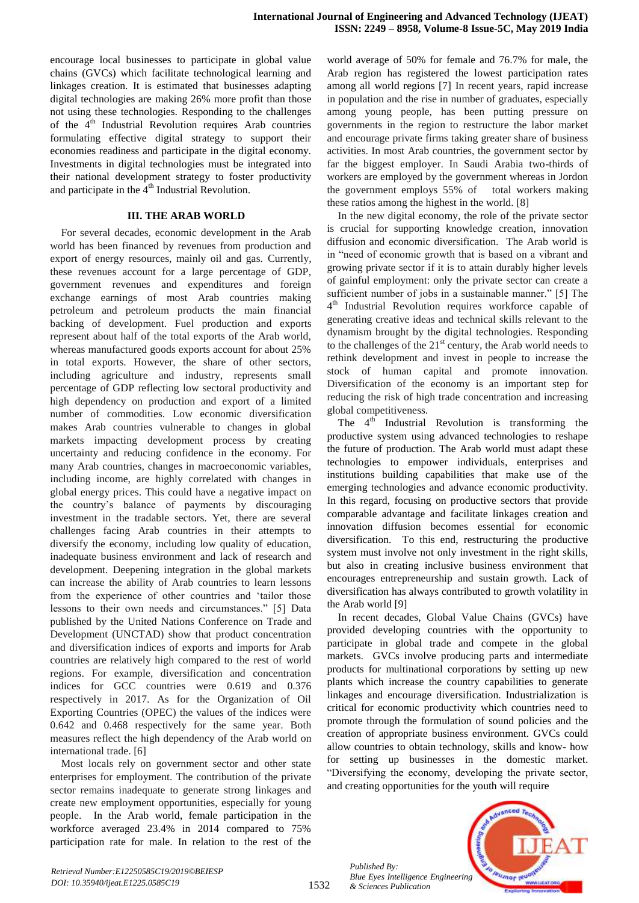encourage local businesses to participate in global value chains (GVCs) which facilitate technological learning and linkages creation. It is estimated that businesses adapting digital technologies are making 26% more profit than those not using these technologies. Responding to the challenges of the  $4<sup>th</sup>$  Industrial Revolution requires Arab countries formulating effective digital strategy to support their economies readiness and participate in the digital economy. Investments in digital technologies must be integrated into their national development strategy to foster productivity and participate in the  $4<sup>th</sup>$  Industrial Revolution.

## **III. THE ARAB WORLD**

For several decades, economic development in the Arab world has been financed by revenues from production and export of energy resources, mainly oil and gas. Currently, these revenues account for a large percentage of GDP, government revenues and expenditures and foreign exchange earnings of most Arab countries making petroleum and petroleum products the main financial backing of development. Fuel production and exports represent about half of the total exports of the Arab world, whereas manufactured goods exports account for about 25% in total exports. However, the share of other sectors, including agriculture and industry, represents small percentage of GDP reflecting low sectoral productivity and high dependency on production and export of a limited number of commodities. Low economic diversification makes Arab countries vulnerable to changes in global markets impacting development process by creating uncertainty and reducing confidence in the economy. For many Arab countries, changes in macroeconomic variables, including income, are highly correlated with changes in global energy prices. This could have a negative impact on the country"s balance of payments by discouraging investment in the tradable sectors. Yet, there are several challenges facing Arab countries in their attempts to diversify the economy, including low quality of education, inadequate business environment and lack of research and development. Deepening integration in the global markets can increase the ability of Arab countries to learn lessons from the experience of other countries and "tailor those lessons to their own needs and circumstances." [5] Data published by the United Nations Conference on Trade and Development (UNCTAD) show that product concentration and diversification indices of exports and imports for Arab countries are relatively high compared to the rest of world regions. For example, diversification and concentration indices for GCC countries were 0.619 and 0.376 respectively in 2017. As for the Organization of Oil Exporting Countries (OPEC) the values of the indices were 0.642 and 0.468 respectively for the same year. Both measures reflect the high dependency of the Arab world on international trade. [6]

Most locals rely on government sector and other state enterprises for employment. The contribution of the private sector remains inadequate to generate strong linkages and create new employment opportunities, especially for young people. In the Arab world, female participation in the workforce averaged 23.4% in 2014 compared to 75% participation rate for male. In relation to the rest of the world average of 50% for female and 76.7% for male, the Arab region has registered the lowest participation rates among all world regions [7] In recent years, rapid increase in population and the rise in number of graduates, especially among young people, has been putting pressure on governments in the region to restructure the labor market and encourage private firms taking greater share of business activities. In most Arab countries, the government sector by far the biggest employer. In Saudi Arabia two-thirds of workers are employed by the government whereas in Jordon the government employs 55% of total workers making these ratios among the highest in the world. [8]

In the new digital economy, the role of the private sector is crucial for supporting knowledge creation, innovation diffusion and economic diversification. The Arab world is in "need of economic growth that is based on a vibrant and growing private sector if it is to attain durably higher levels of gainful employment: only the private sector can create a sufficient number of jobs in a sustainable manner." [5] The 4<sup>th</sup> Industrial Revolution requires workforce capable of generating creative ideas and technical skills relevant to the dynamism brought by the digital technologies. Responding to the challenges of the  $21<sup>st</sup>$  century, the Arab world needs to rethink development and invest in people to increase the stock of human capital and promote innovation. Diversification of the economy is an important step for reducing the risk of high trade concentration and increasing global competitiveness.

The  $4<sup>th</sup>$  Industrial Revolution is transforming the productive system using advanced technologies to reshape the future of production. The Arab world must adapt these technologies to empower individuals, enterprises and institutions building capabilities that make use of the emerging technologies and advance economic productivity. In this regard, focusing on productive sectors that provide comparable advantage and facilitate linkages creation and innovation diffusion becomes essential for economic diversification. To this end, restructuring the productive system must involve not only investment in the right skills, but also in creating inclusive business environment that encourages entrepreneurship and sustain growth. Lack of diversification has always contributed to growth volatility in the Arab world [9]

In recent decades, Global Value Chains (GVCs) have provided developing countries with the opportunity to participate in global trade and compete in the global markets. GVCs involve producing parts and intermediate products for multinational corporations by setting up new plants which increase the country capabilities to generate linkages and encourage diversification. Industrialization is critical for economic productivity which countries need to promote through the formulation of sound policies and the creation of appropriate business environment. GVCs could allow countries to obtain technology, skills and know- how for setting up businesses in the domestic market. "Diversifying the economy, developing the private sector, and creating opportunities for the youth will require

*Published By: Blue Eyes Intelligence Engineering & Sciences Publication* 

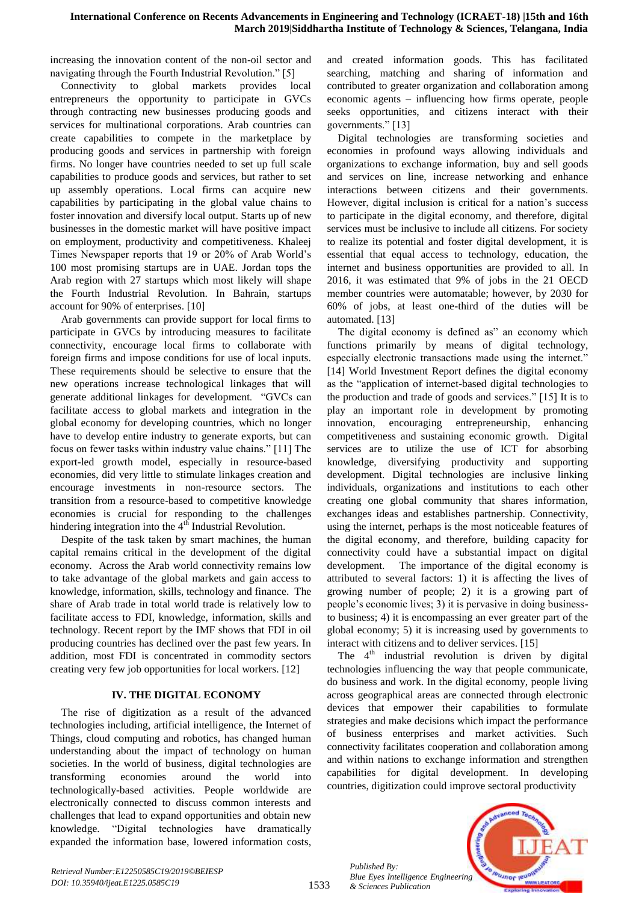increasing the innovation content of the non-oil sector and navigating through the Fourth Industrial Revolution." [5]

Connectivity to global markets provides local entrepreneurs the opportunity to participate in GVCs through contracting new businesses producing goods and services for multinational corporations. Arab countries can create capabilities to compete in the marketplace by producing goods and services in partnership with foreign firms. No longer have countries needed to set up full scale capabilities to produce goods and services, but rather to set up assembly operations. Local firms can acquire new capabilities by participating in the global value chains to foster innovation and diversify local output. Starts up of new businesses in the domestic market will have positive impact on employment, productivity and competitiveness. Khaleej Times Newspaper reports that 19 or 20% of Arab World"s 100 most promising startups are in UAE. Jordan tops the Arab region with 27 startups which most likely will shape the Fourth Industrial Revolution. In Bahrain, startups account for 90% of enterprises. [10]

Arab governments can provide support for local firms to participate in GVCs by introducing measures to facilitate connectivity, encourage local firms to collaborate with foreign firms and impose conditions for use of local inputs. These requirements should be selective to ensure that the new operations increase technological linkages that will generate additional linkages for development. "GVCs can facilitate access to global markets and integration in the global economy for developing countries, which no longer have to develop entire industry to generate exports, but can focus on fewer tasks within industry value chains." [11] The export-led growth model, especially in resource-based economies, did very little to stimulate linkages creation and encourage investments in non-resource sectors. The transition from a resource-based to competitive knowledge economies is crucial for responding to the challenges hindering integration into the  $4<sup>th</sup>$  Industrial Revolution.

Despite of the task taken by smart machines, the human capital remains critical in the development of the digital economy. Across the Arab world connectivity remains low to take advantage of the global markets and gain access to knowledge, information, skills, technology and finance. The share of Arab trade in total world trade is relatively low to facilitate access to FDI, knowledge, information, skills and technology. Recent report by the IMF shows that FDI in oil producing countries has declined over the past few years. In addition, most FDI is concentrated in commodity sectors creating very few job opportunities for local workers. [12]

## **IV. THE DIGITAL ECONOMY**

The rise of digitization as a result of the advanced technologies including, artificial intelligence, the Internet of Things, cloud computing and robotics, has changed human understanding about the impact of technology on human societies. In the world of business, digital technologies are transforming economies around the world into technologically-based activities. People worldwide are electronically connected to discuss common interests and challenges that lead to expand opportunities and obtain new knowledge. "Digital technologies have dramatically expanded the information base, lowered information costs,

and created information goods. This has facilitated searching, matching and sharing of information and contributed to greater organization and collaboration among economic agents – influencing how firms operate, people seeks opportunities, and citizens interact with their governments." [13]

Digital technologies are transforming societies and economies in profound ways allowing individuals and organizations to exchange information, buy and sell goods and services on line, increase networking and enhance interactions between citizens and their governments. However, digital inclusion is critical for a nation's success to participate in the digital economy, and therefore, digital services must be inclusive to include all citizens. For society to realize its potential and foster digital development, it is essential that equal access to technology, education, the internet and business opportunities are provided to all. In 2016, it was estimated that 9% of jobs in the 21 OECD member countries were automatable; however, by 2030 for 60% of jobs, at least one-third of the duties will be automated. [13]

The digital economy is defined as" an economy which functions primarily by means of digital technology, especially electronic transactions made using the internet." [14] World Investment Report defines the digital economy as the "application of internet-based digital technologies to the production and trade of goods and services." [15] It is to play an important role in development by promoting innovation, encouraging entrepreneurship, enhancing competitiveness and sustaining economic growth. Digital services are to utilize the use of ICT for absorbing knowledge, diversifying productivity and supporting development. Digital technologies are inclusive linking individuals, organizations and institutions to each other creating one global community that shares information, exchanges ideas and establishes partnership. Connectivity, using the internet, perhaps is the most noticeable features of the digital economy, and therefore, building capacity for connectivity could have a substantial impact on digital development. The importance of the digital economy is attributed to several factors: 1) it is affecting the lives of growing number of people; 2) it is a growing part of people"s economic lives; 3) it is pervasive in doing businessto business; 4) it is encompassing an ever greater part of the global economy; 5) it is increasing used by governments to interact with citizens and to deliver services. [15]

The  $4<sup>th</sup>$  industrial revolution is driven by digital technologies influencing the way that people communicate, do business and work. In the digital economy, people living across geographical areas are connected through electronic devices that empower their capabilities to formulate strategies and make decisions which impact the performance of business enterprises and market activities. Such connectivity facilitates cooperation and collaboration among and within nations to exchange information and strengthen capabilities for digital development. In developing countries, digitization could improve sectoral productivity

*Published By: Blue Eyes Intelligence Engineering & Sciences Publication* 

1533

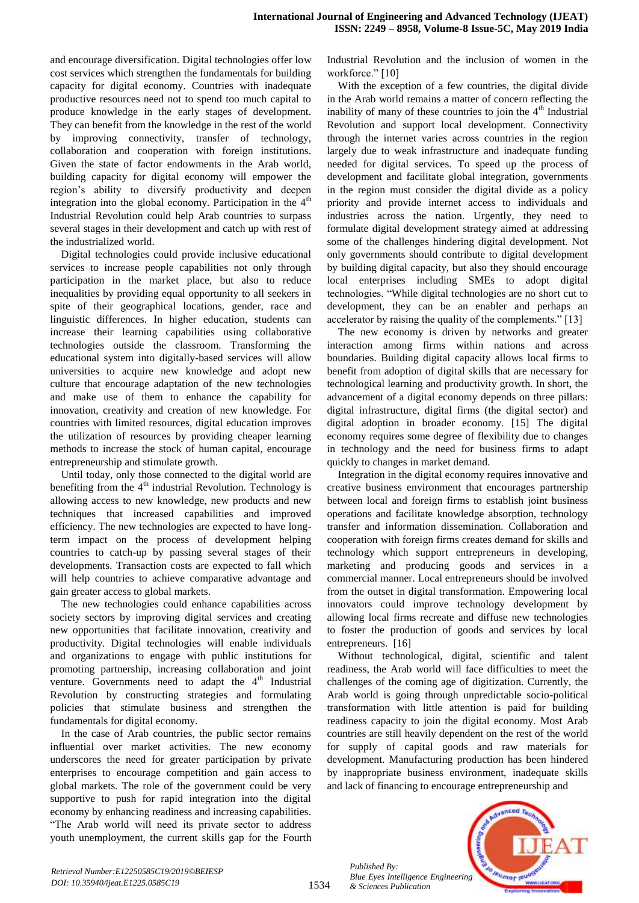and encourage diversification. Digital technologies offer low cost services which strengthen the fundamentals for building capacity for digital economy. Countries with inadequate productive resources need not to spend too much capital to produce knowledge in the early stages of development. They can benefit from the knowledge in the rest of the world by improving connectivity, transfer of technology, collaboration and cooperation with foreign institutions. Given the state of factor endowments in the Arab world, building capacity for digital economy will empower the region"s ability to diversify productivity and deepen integration into the global economy. Participation in the  $4<sup>th</sup>$ Industrial Revolution could help Arab countries to surpass several stages in their development and catch up with rest of the industrialized world.

Digital technologies could provide inclusive educational services to increase people capabilities not only through participation in the market place, but also to reduce inequalities by providing equal opportunity to all seekers in spite of their geographical locations, gender, race and linguistic differences. In higher education, students can increase their learning capabilities using collaborative technologies outside the classroom. Transforming the educational system into digitally-based services will allow universities to acquire new knowledge and adopt new culture that encourage adaptation of the new technologies and make use of them to enhance the capability for innovation, creativity and creation of new knowledge. For countries with limited resources, digital education improves the utilization of resources by providing cheaper learning methods to increase the stock of human capital, encourage entrepreneurship and stimulate growth.

Until today, only those connected to the digital world are benefiting from the  $4<sup>th</sup>$  industrial Revolution. Technology is allowing access to new knowledge, new products and new techniques that increased capabilities and improved efficiency. The new technologies are expected to have longterm impact on the process of development helping countries to catch-up by passing several stages of their developments. Transaction costs are expected to fall which will help countries to achieve comparative advantage and gain greater access to global markets.

The new technologies could enhance capabilities across society sectors by improving digital services and creating new opportunities that facilitate innovation, creativity and productivity. Digital technologies will enable individuals and organizations to engage with public institutions for promoting partnership, increasing collaboration and joint venture. Governments need to adapt the  $4<sup>th</sup>$  Industrial Revolution by constructing strategies and formulating policies that stimulate business and strengthen the fundamentals for digital economy.

In the case of Arab countries, the public sector remains influential over market activities. The new economy underscores the need for greater participation by private enterprises to encourage competition and gain access to global markets. The role of the government could be very supportive to push for rapid integration into the digital economy by enhancing readiness and increasing capabilities. "The Arab world will need its private sector to address youth unemployment, the current skills gap for the Fourth Industrial Revolution and the inclusion of women in the workforce." [10]

With the exception of a few countries, the digital divide in the Arab world remains a matter of concern reflecting the inability of many of these countries to join the  $4<sup>th</sup>$  Industrial Revolution and support local development. Connectivity through the internet varies across countries in the region largely due to weak infrastructure and inadequate funding needed for digital services. To speed up the process of development and facilitate global integration, governments in the region must consider the digital divide as a policy priority and provide internet access to individuals and industries across the nation. Urgently, they need to formulate digital development strategy aimed at addressing some of the challenges hindering digital development. Not only governments should contribute to digital development by building digital capacity, but also they should encourage local enterprises including SMEs to adopt digital technologies. "While digital technologies are no short cut to development, they can be an enabler and perhaps an accelerator by raising the quality of the complements." [13]

The new economy is driven by networks and greater interaction among firms within nations and across boundaries. Building digital capacity allows local firms to benefit from adoption of digital skills that are necessary for technological learning and productivity growth. In short, the advancement of a digital economy depends on three pillars: digital infrastructure, digital firms (the digital sector) and digital adoption in broader economy. [15] The digital economy requires some degree of flexibility due to changes in technology and the need for business firms to adapt quickly to changes in market demand.

Integration in the digital economy requires innovative and creative business environment that encourages partnership between local and foreign firms to establish joint business operations and facilitate knowledge absorption, technology transfer and information dissemination. Collaboration and cooperation with foreign firms creates demand for skills and technology which support entrepreneurs in developing, marketing and producing goods and services in a commercial manner. Local entrepreneurs should be involved from the outset in digital transformation. Empowering local innovators could improve technology development by allowing local firms recreate and diffuse new technologies to foster the production of goods and services by local entrepreneurs. [16]

Without technological, digital, scientific and talent readiness, the Arab world will face difficulties to meet the challenges of the coming age of digitization. Currently, the Arab world is going through unpredictable socio-political transformation with little attention is paid for building readiness capacity to join the digital economy. Most Arab countries are still heavily dependent on the rest of the world for supply of capital goods and raw materials for development. Manufacturing production has been hindered by inappropriate business environment, inadequate skills and lack of financing to encourage entrepreneurship and

*Published By: Blue Eyes Intelligence Engineering & Sciences Publication* 

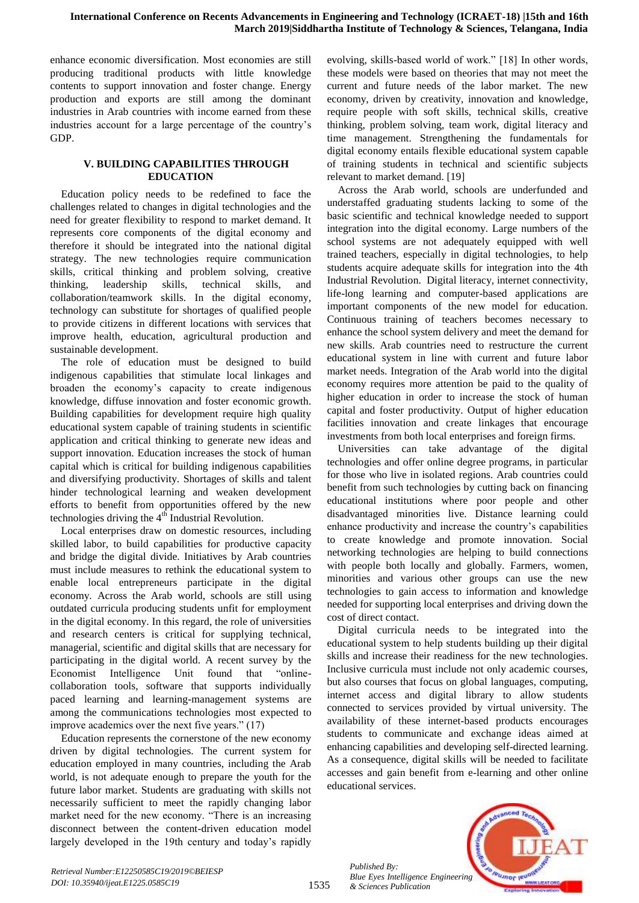enhance economic diversification. Most economies are still producing traditional products with little knowledge contents to support innovation and foster change. Energy production and exports are still among the dominant industries in Arab countries with income earned from these industries account for a large percentage of the country"s GDP.

## **V. BUILDING CAPABILITIES THROUGH EDUCATION**

Education policy needs to be redefined to face the challenges related to changes in digital technologies and the need for greater flexibility to respond to market demand. It represents core components of the digital economy and therefore it should be integrated into the national digital strategy. The new technologies require communication skills, critical thinking and problem solving, creative thinking, leadership skills, technical skills, and collaboration/teamwork skills. In the digital economy, technology can substitute for shortages of qualified people to provide citizens in different locations with services that improve health, education, agricultural production and sustainable development.

The role of education must be designed to build indigenous capabilities that stimulate local linkages and broaden the economy"s capacity to create indigenous knowledge, diffuse innovation and foster economic growth. Building capabilities for development require high quality educational system capable of training students in scientific application and critical thinking to generate new ideas and support innovation. Education increases the stock of human capital which is critical for building indigenous capabilities and diversifying productivity. Shortages of skills and talent hinder technological learning and weaken development efforts to benefit from opportunities offered by the new technologies driving the  $4<sup>th</sup>$  Industrial Revolution.

Local enterprises draw on domestic resources, including skilled labor, to build capabilities for productive capacity and bridge the digital divide. Initiatives by Arab countries must include measures to rethink the educational system to enable local entrepreneurs participate in the digital economy. Across the Arab world, schools are still using outdated curricula producing students unfit for employment in the digital economy. In this regard, the role of universities and research centers is critical for supplying technical, managerial, scientific and digital skills that are necessary for participating in the digital world. A recent survey by the Economist Intelligence Unit found that "onlinecollaboration tools, software that supports individually paced learning and learning-management systems are among the communications technologies most expected to improve academics over the next five years." (17)

Education represents the cornerstone of the new economy driven by digital technologies. The current system for education employed in many countries, including the Arab world, is not adequate enough to prepare the youth for the future labor market. Students are graduating with skills not necessarily sufficient to meet the rapidly changing labor market need for the new economy. "There is an increasing disconnect between the content-driven education model largely developed in the 19th century and today"s rapidly

evolving, skills-based world of work." [18] In other words, these models were based on theories that may not meet the current and future needs of the labor market. The new economy, driven by creativity, innovation and knowledge, require people with soft skills, technical skills, creative thinking, problem solving, team work, digital literacy and time management. Strengthening the fundamentals for digital economy entails flexible educational system capable of training students in technical and scientific subjects relevant to market demand. [19]

Across the Arab world, schools are underfunded and understaffed graduating students lacking to some of the basic scientific and technical knowledge needed to support integration into the digital economy. Large numbers of the school systems are not adequately equipped with well trained teachers, especially in digital technologies, to help students acquire adequate skills for integration into the 4th Industrial Revolution. Digital literacy, internet connectivity, life-long learning and computer-based applications are important components of the new model for education. Continuous training of teachers becomes necessary to enhance the school system delivery and meet the demand for new skills. Arab countries need to restructure the current educational system in line with current and future labor market needs. Integration of the Arab world into the digital economy requires more attention be paid to the quality of higher education in order to increase the stock of human capital and foster productivity. Output of higher education facilities innovation and create linkages that encourage investments from both local enterprises and foreign firms.

Universities can take advantage of the digital technologies and offer online degree programs, in particular for those who live in isolated regions. Arab countries could benefit from such technologies by cutting back on financing educational institutions where poor people and other disadvantaged minorities live. Distance learning could enhance productivity and increase the country"s capabilities to create knowledge and promote innovation. Social networking technologies are helping to build connections with people both locally and globally. Farmers, women, minorities and various other groups can use the new technologies to gain access to information and knowledge needed for supporting local enterprises and driving down the cost of direct contact.

Digital curricula needs to be integrated into the educational system to help students building up their digital skills and increase their readiness for the new technologies. Inclusive curricula must include not only academic courses, but also courses that focus on global languages, computing, internet access and digital library to allow students connected to services provided by virtual university. The availability of these internet-based products encourages students to communicate and exchange ideas aimed at enhancing capabilities and developing self-directed learning. As a consequence, digital skills will be needed to facilitate accesses and gain benefit from e-learning and other online educational services.

*Published By: Blue Eyes Intelligence Engineering & Sciences Publication* 

1535

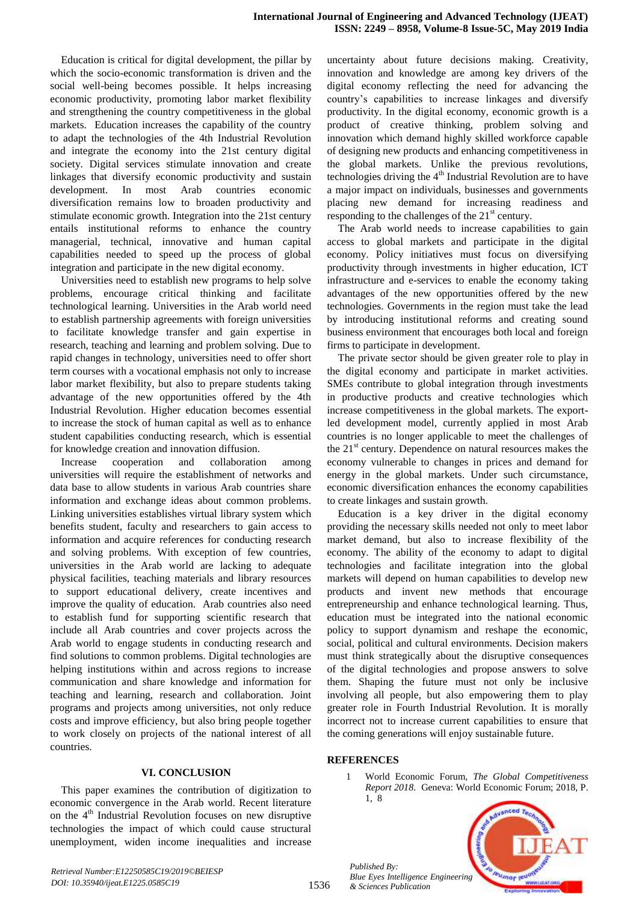Education is critical for digital development, the pillar by which the socio-economic transformation is driven and the social well-being becomes possible. It helps increasing economic productivity, promoting labor market flexibility and strengthening the country competitiveness in the global markets. Education increases the capability of the country to adapt the technologies of the 4th Industrial Revolution and integrate the economy into the 21st century digital society. Digital services stimulate innovation and create linkages that diversify economic productivity and sustain development. In most Arab countries economic diversification remains low to broaden productivity and stimulate economic growth. Integration into the 21st century entails institutional reforms to enhance the country managerial, technical, innovative and human capital capabilities needed to speed up the process of global integration and participate in the new digital economy.

Universities need to establish new programs to help solve problems, encourage critical thinking and facilitate technological learning. Universities in the Arab world need to establish partnership agreements with foreign universities to facilitate knowledge transfer and gain expertise in research, teaching and learning and problem solving. Due to rapid changes in technology, universities need to offer short term courses with a vocational emphasis not only to increase labor market flexibility, but also to prepare students taking advantage of the new opportunities offered by the 4th Industrial Revolution. Higher education becomes essential to increase the stock of human capital as well as to enhance student capabilities conducting research, which is essential for knowledge creation and innovation diffusion.

Increase cooperation and collaboration among universities will require the establishment of networks and data base to allow students in various Arab countries share information and exchange ideas about common problems. Linking universities establishes virtual library system which benefits student, faculty and researchers to gain access to information and acquire references for conducting research and solving problems. With exception of few countries, universities in the Arab world are lacking to adequate physical facilities, teaching materials and library resources to support educational delivery, create incentives and improve the quality of education. Arab countries also need to establish fund for supporting scientific research that include all Arab countries and cover projects across the Arab world to engage students in conducting research and find solutions to common problems. Digital technologies are helping institutions within and across regions to increase communication and share knowledge and information for teaching and learning, research and collaboration. Joint programs and projects among universities, not only reduce costs and improve efficiency, but also bring people together to work closely on projects of the national interest of all countries.

#### **VI. CONCLUSION**

This paper examines the contribution of digitization to economic convergence in the Arab world. Recent literature on the  $4<sup>th</sup>$  Industrial Revolution focuses on new disruptive technologies the impact of which could cause structural unemployment, widen income inequalities and increase

uncertainty about future decisions making. Creativity, innovation and knowledge are among key drivers of the digital economy reflecting the need for advancing the country"s capabilities to increase linkages and diversify productivity. In the digital economy, economic growth is a product of creative thinking, problem solving and innovation which demand highly skilled workforce capable of designing new products and enhancing competitiveness in the global markets. Unlike the previous revolutions, technologies driving the  $4<sup>th</sup>$  Industrial Revolution are to have a major impact on individuals, businesses and governments placing new demand for increasing readiness and responding to the challenges of the  $21<sup>st</sup>$  century.

The Arab world needs to increase capabilities to gain access to global markets and participate in the digital economy. Policy initiatives must focus on diversifying productivity through investments in higher education, ICT infrastructure and e-services to enable the economy taking advantages of the new opportunities offered by the new technologies. Governments in the region must take the lead by introducing institutional reforms and creating sound business environment that encourages both local and foreign firms to participate in development.

The private sector should be given greater role to play in the digital economy and participate in market activities. SMEs contribute to global integration through investments in productive products and creative technologies which increase competitiveness in the global markets. The exportled development model, currently applied in most Arab countries is no longer applicable to meet the challenges of the 21<sup>st</sup> century. Dependence on natural resources makes the economy vulnerable to changes in prices and demand for energy in the global markets. Under such circumstance, economic diversification enhances the economy capabilities to create linkages and sustain growth.

Education is a key driver in the digital economy providing the necessary skills needed not only to meet labor market demand, but also to increase flexibility of the economy. The ability of the economy to adapt to digital technologies and facilitate integration into the global markets will depend on human capabilities to develop new products and invent new methods that encourage entrepreneurship and enhance technological learning. Thus, education must be integrated into the national economic policy to support dynamism and reshape the economic, social, political and cultural environments. Decision makers must think strategically about the disruptive consequences of the digital technologies and propose answers to solve them. Shaping the future must not only be inclusive involving all people, but also empowering them to play greater role in Fourth Industrial Revolution. It is morally incorrect not to increase current capabilities to ensure that the coming generations will enjoy sustainable future.

### **REFERENCES**

1 World Economic Forum, *The Global Competitiveness Report 2018*. Geneva: World Economic Forum; 2018, P. 1, 8



*Published By: Blue Eyes Intelligence Engineering & Sciences Publication*